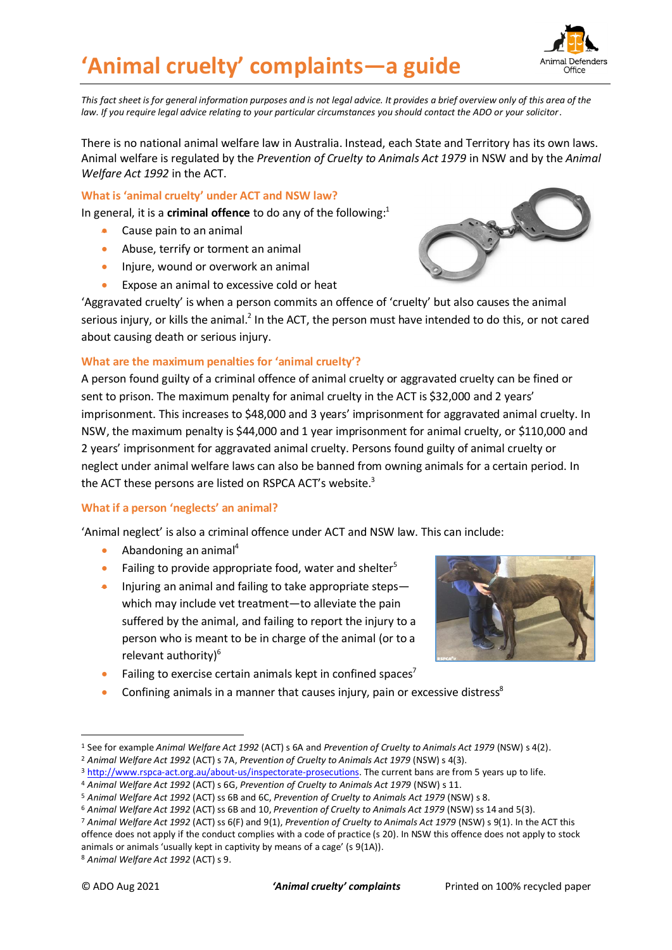# **'Animal cruelty' complaints—a guide**



*This fact sheet is for general information purposes and is not legal advice. It provides a brief overview only of this area of the law. If you require legal advice relating to your particular circumstances you should contact the ADO or your solicitor.*

There is no national animal welfare law in Australia. Instead, each State and Territory has its own laws. Animal welfare is regulated by the *Prevention of Cruelty to Animals Act 1979* in NSW and by the *Animal Welfare Act 1992* in the ACT.

**What is 'animal cruelty' under ACT and NSW law?**

In general, it is a **criminal offence** to do any of the following: 1

- Cause pain to an animal
- Abuse, terrify or torment an animal
- Injure, wound or overwork an animal
- Expose an animal to excessive cold or heat

'Aggravated cruelty' is when a person commits an offence of 'cruelty' but also causes the animal serious injury, or kills the animal.<sup>2</sup> In the ACT, the person must have intended to do this, or not cared about causing death or serious injury.

#### **What are the maximum penalties for 'animal cruelty'?**

A person found guilty of a criminal offence of animal cruelty or aggravated cruelty can be fined or sent to prison. The maximum penalty for animal cruelty in the ACT is \$32,000 and 2 years' imprisonment. This increases to \$48,000 and 3 years' imprisonment for aggravated animal cruelty. In NSW, the maximum penalty is \$44,000 and 1 year imprisonment for animal cruelty, or \$110,000 and 2 years' imprisonment for aggravated animal cruelty. Persons found guilty of animal cruelty or neglect under animal welfare laws can also be banned from owning animals for a certain period. In the ACT these persons are listed on RSPCA ACT's website.<sup>3</sup>

#### **What if a person 'neglects' an animal?**

'Animal neglect' is also a criminal offence under ACT and NSW law. This can include:

- Abandoning an animal<sup>4</sup>
- Failing to provide appropriate food, water and shelter<sup>5</sup>
- Injuring an animal and failing to take appropriate steps which may include vet treatment—to alleviate the pain suffered by the animal, and failing to report the injury to a person who is meant to be in charge of the animal (or to a relevant authority) 6
- Failing to exercise certain animals kept in confined spaces<sup>7</sup>
- Confining animals in a manner that causes injury, pain or excessive distress<sup>8</sup>



<sup>1</sup> See for example *Animal Welfare Act 1992* (ACT) s 6A and *Prevention of Cruelty to Animals Act 1979* (NSW) s 4(2).

<sup>2</sup> *Animal Welfare Act 1992* (ACT) s 7A, *Prevention of Cruelty to Animals Act 1979* (NSW) s 4(3).

<sup>3</sup> [http://www.rspca-act.org.au/about-us/inspectorate-prosecutions.](http://www.rspca-act.org.au/about-us/inspectorate-prosecutions) The current bans are from 5 years up to life.

<sup>4</sup> *Animal Welfare Act 1992* (ACT) s 6G, *Prevention of Cruelty to Animals Act 1979* (NSW) s 11.

<sup>5</sup> *Animal Welfare Act 1992* (ACT) ss 6B and 6C, *Prevention of Cruelty to Animals Act 1979* (NSW) s 8.

<sup>6</sup> *Animal Welfare Act 1992* (ACT) ss 6B and 10, *Prevention of Cruelty to Animals Act 1979* (NSW) ss 14 and 5(3).

<sup>7</sup> *Animal Welfare Act 1992* (ACT) ss 6(F) and 9(1), *Prevention of Cruelty to Animals Act 1979* (NSW) s 9(1). In the ACT this offence does not apply if the conduct complies with a code of practice (s 20). In NSW this offence does not apply to stock animals or animals 'usually kept in captivity by means of a cage' (s 9(1A)).

<sup>8</sup> *Animal Welfare Act 1992* (ACT) s 9.